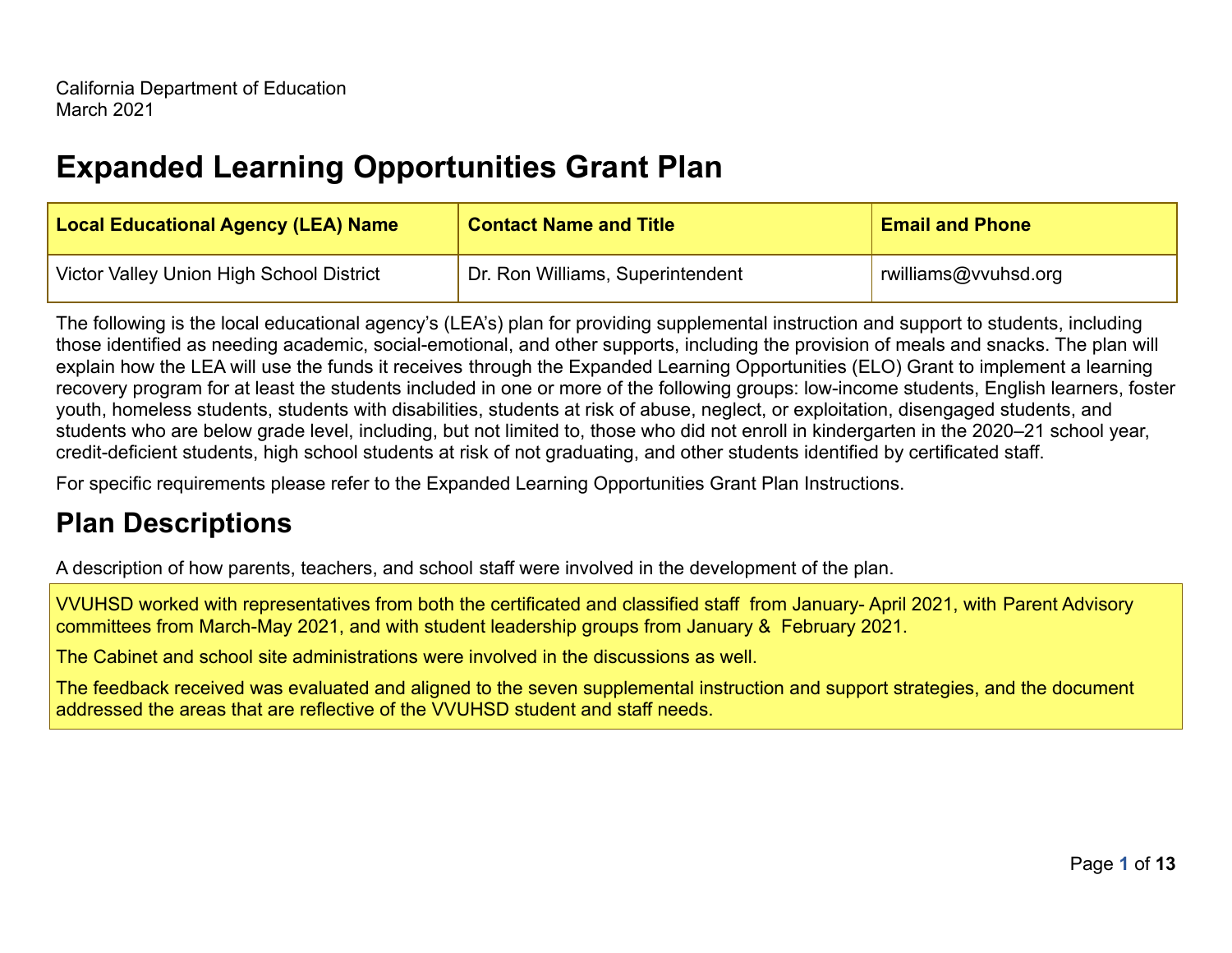# **Expanded Learning Opportunities Grant Plan**

| <b>Local Educational Agency (LEA) Name</b> | <b>Contact Name and Title</b>    | <b>Email and Phone</b> |
|--------------------------------------------|----------------------------------|------------------------|
| Victor Valley Union High School District   | Dr. Ron Williams, Superintendent | williams@vvuhsd.org    |

The following is the local educational agency's (LEA's) plan for providing supplemental instruction and support to students, including those identified as needing academic, social-emotional, and other supports, including the provision of meals and snacks. The plan will explain how the LEA will use the funds it receives through the Expanded Learning Opportunities (ELO) Grant to implement a learning recovery program for at least the students included in one or more of the following groups: low-income students, English learners, foster youth, homeless students, students with disabilities, students at risk of abuse, neglect, or exploitation, disengaged students, and students who are below grade level, including, but not limited to, those who did not enroll in kindergarten in the 2020–21 school year, credit-deficient students, high school students at risk of not graduating, and other students identified by certificated staff.

For specific requirements please refer to the Expanded Learning Opportunities Grant Plan Instructions.

# **Plan Descriptions**

A description of how parents, teachers, and school staff were involved in the development of the plan.

VVUHSD worked with representatives from both the certificated and classified staff from January- April 2021, with Parent Advisory committees from March-May 2021, and with student leadership groups from January & February 2021.

The Cabinet and school site administrations were involved in the discussions as well.

The feedback received was evaluated and aligned to the seven supplemental instruction and support strategies, and the document addressed the areas that are reflective of the VVUHSD student and staff needs.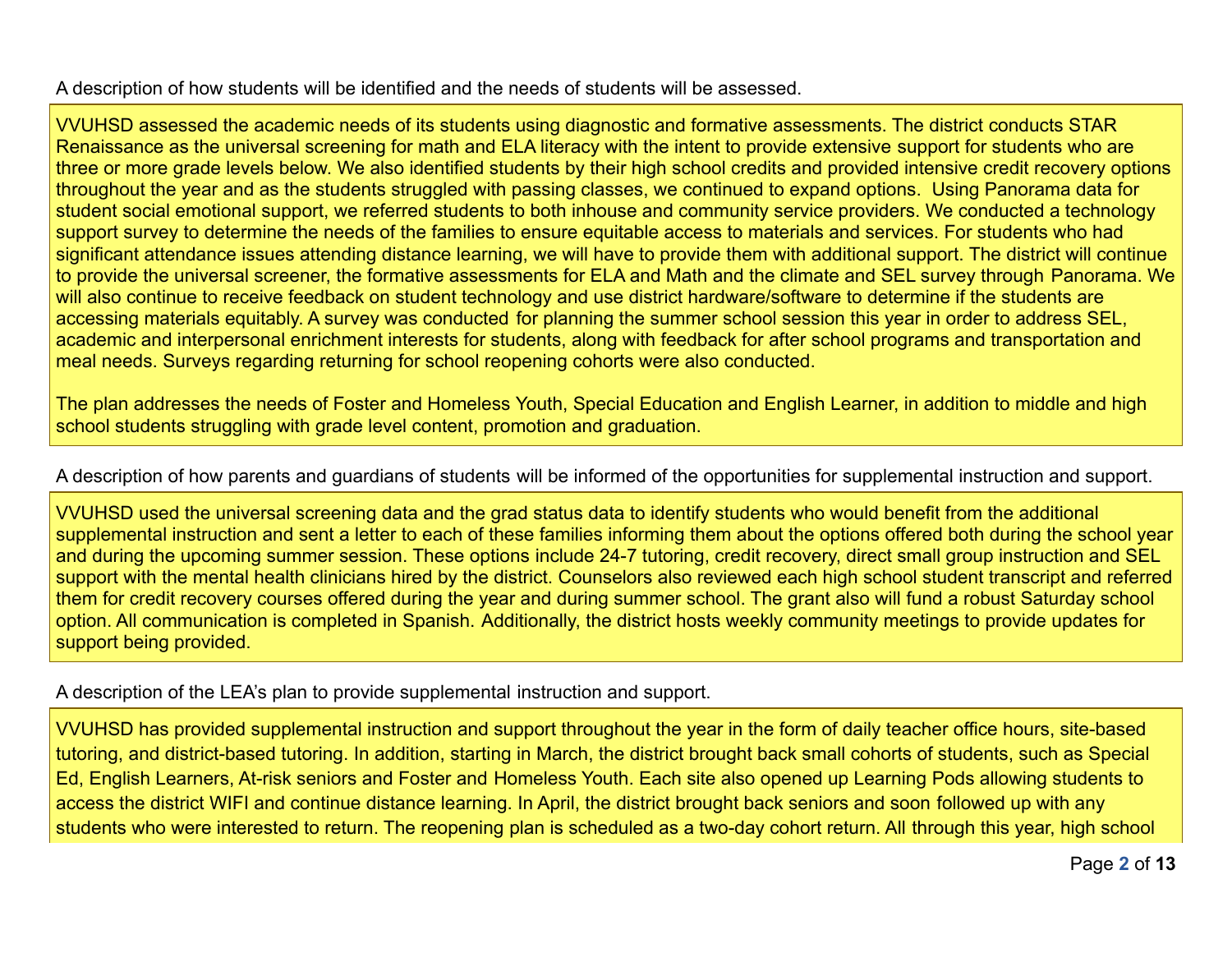A description of how students will be identified and the needs of students will be assessed.

VVUHSD assessed the academic needs of its students using diagnostic and formative assessments. The district conducts STAR Renaissance as the universal screening for math and ELA literacy with the intent to provide extensive support for students who are three or more grade levels below. We also identified students by their high school credits and provided intensive credit recovery options throughout the year and as the students struggled with passing classes, we continued to expand options. Using Panorama data for student social emotional support, we referred students to both inhouse and community service providers. We conducted a technology support survey to determine the needs of the families to ensure equitable access to materials and services. For students who had significant attendance issues attending distance learning, we will have to provide them with additional support. The district will continue to provide the universal screener, the formative assessments for ELA and Math and the climate and SEL survey through Panorama. We will also continue to receive feedback on student technology and use district hardware/software to determine if the students are accessing materials equitably. A survey was conducted for planning the summer school session this year in order to address SEL, academic and interpersonal enrichment interests for students, along with feedback for after school programs and transportation and meal needs. Surveys regarding returning for school reopening cohorts were also conducted.

The plan addresses the needs of Foster and Homeless Youth, Special Education and English Learner, in addition to middle and high school students struggling with grade level content, promotion and graduation.

A description of how parents and guardians of students will be informed of the opportunities for supplemental instruction and support.

VVUHSD used the universal screening data and the grad status data to identify students who would benefit from the additional supplemental instruction and sent a letter to each of these families informing them about the options offered both during the school year and during the upcoming summer session. These options include 24-7 tutoring, credit recovery, direct small group instruction and SEL support with the mental health clinicians hired by the district. Counselors also reviewed each high school student transcript and referred them for credit recovery courses offered during the year and during summer school. The grant also will fund a robust Saturday school option. All communication is completed in Spanish. Additionally, the district hosts weekly community meetings to provide updates for support being provided.

A description of the LEA's plan to provide supplemental instruction and support.

VVUHSD has provided supplemental instruction and support throughout the year in the form of daily teacher office hours, site-based tutoring, and district-based tutoring. In addition, starting in March, the district brought back small cohorts of students, such as Special Ed, English Learners, At-risk seniors and Foster and Homeless Youth. Each site also opened up Learning Pods allowing students to access the district WIFI and continue distance learning. In April, the district brought back seniors and soon followed up with any students who were interested to return. The reopening plan is scheduled as a two-day cohort return. All through this year, high school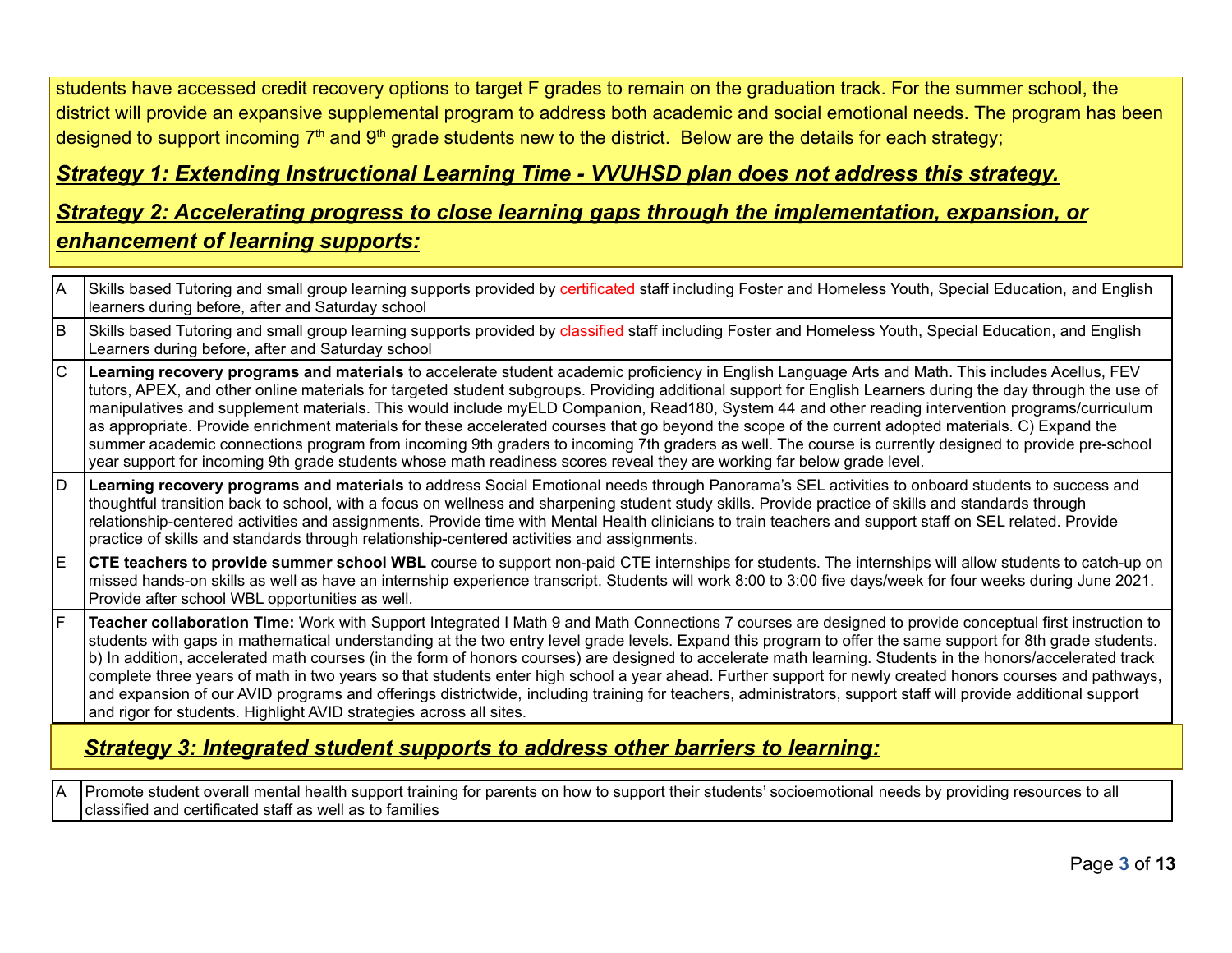students have accessed credit recovery options to target F grades to remain on the graduation track. For the summer school, the district will provide an expansive supplemental program to address both academic and social emotional needs. The program has been designed to support incoming 7<sup>th</sup> and 9<sup>th</sup> grade students new to the district. Below are the details for each strategy;

### *Strategy 1: Extending Instructional Learning Time - VVUHSD plan does not address this strategy.*

## *Strategy 2: Accelerating progress to close learning gaps through the implementation, expansion, or enhancement of learning supports:*

| ΙA           | Skills based Tutoring and small group learning supports provided by certificated staff including Foster and Homeless Youth, Special Education, and English<br>learners during before, after and Saturday school                                                                                                                                                                                                                                                                                                                                                                                                                                                                                                                                                                                                                                                                                                   |  |  |
|--------------|-------------------------------------------------------------------------------------------------------------------------------------------------------------------------------------------------------------------------------------------------------------------------------------------------------------------------------------------------------------------------------------------------------------------------------------------------------------------------------------------------------------------------------------------------------------------------------------------------------------------------------------------------------------------------------------------------------------------------------------------------------------------------------------------------------------------------------------------------------------------------------------------------------------------|--|--|
| ΙB           | Skills based Tutoring and small group learning supports provided by classified staff including Foster and Homeless Youth, Special Education, and English<br>Learners during before, after and Saturday school                                                                                                                                                                                                                                                                                                                                                                                                                                                                                                                                                                                                                                                                                                     |  |  |
| lc.          | Learning recovery programs and materials to accelerate student academic proficiency in English Language Arts and Math. This includes Acellus, FEV<br>tutors, APEX, and other online materials for targeted student subgroups. Providing additional support for English Learners during the day through the use of<br>manipulatives and supplement materials. This would include myELD Companion, Read180, System 44 and other reading intervention programs/curriculum<br>as appropriate. Provide enrichment materials for these accelerated courses that go beyond the scope of the current adopted materials. C) Expand the<br>summer academic connections program from incoming 9th graders to incoming 7th graders as well. The course is currently designed to provide pre-school<br>year support for incoming 9th grade students whose math readiness scores reveal they are working far below grade level. |  |  |
| ID.          | Learning recovery programs and materials to address Social Emotional needs through Panorama's SEL activities to onboard students to success and<br>thoughtful transition back to school, with a focus on wellness and sharpening student study skills. Provide practice of skills and standards through<br>relationship-centered activities and assignments. Provide time with Mental Health clinicians to train teachers and support staff on SEL related. Provide<br>practice of skills and standards through relationship-centered activities and assignments.                                                                                                                                                                                                                                                                                                                                                 |  |  |
| E            | <b>CTE teachers to provide summer school WBL</b> course to support non-paid CTE internships for students. The internships will allow students to catch-up on<br>missed hands-on skills as well as have an internship experience transcript. Students will work 8:00 to 3:00 five days/week for four weeks during June 2021.<br>Provide after school WBL opportunities as well.                                                                                                                                                                                                                                                                                                                                                                                                                                                                                                                                    |  |  |
| $\mathsf{F}$ | Teacher collaboration Time: Work with Support Integrated I Math 9 and Math Connections 7 courses are designed to provide conceptual first instruction to<br>students with gaps in mathematical understanding at the two entry level grade levels. Expand this program to offer the same support for 8th grade students.<br>b) In addition, accelerated math courses (in the form of honors courses) are designed to accelerate math learning. Students in the honors/accelerated track<br>complete three years of math in two years so that students enter high school a year ahead. Further support for newly created honors courses and pathways,<br>and expansion of our AVID programs and offerings districtwide, including training for teachers, administrators, support staff will provide additional support<br>and rigor for students. Highlight AVID strategies across all sites.                       |  |  |
|              | <b>Strategy 3: Integrated student supports to address other barriers to learning:</b>                                                                                                                                                                                                                                                                                                                                                                                                                                                                                                                                                                                                                                                                                                                                                                                                                             |  |  |

A Promote student overall mental health support training for parents on how to support their students' socioemotional needs by providing resources to all classified and certificated staff as well as to families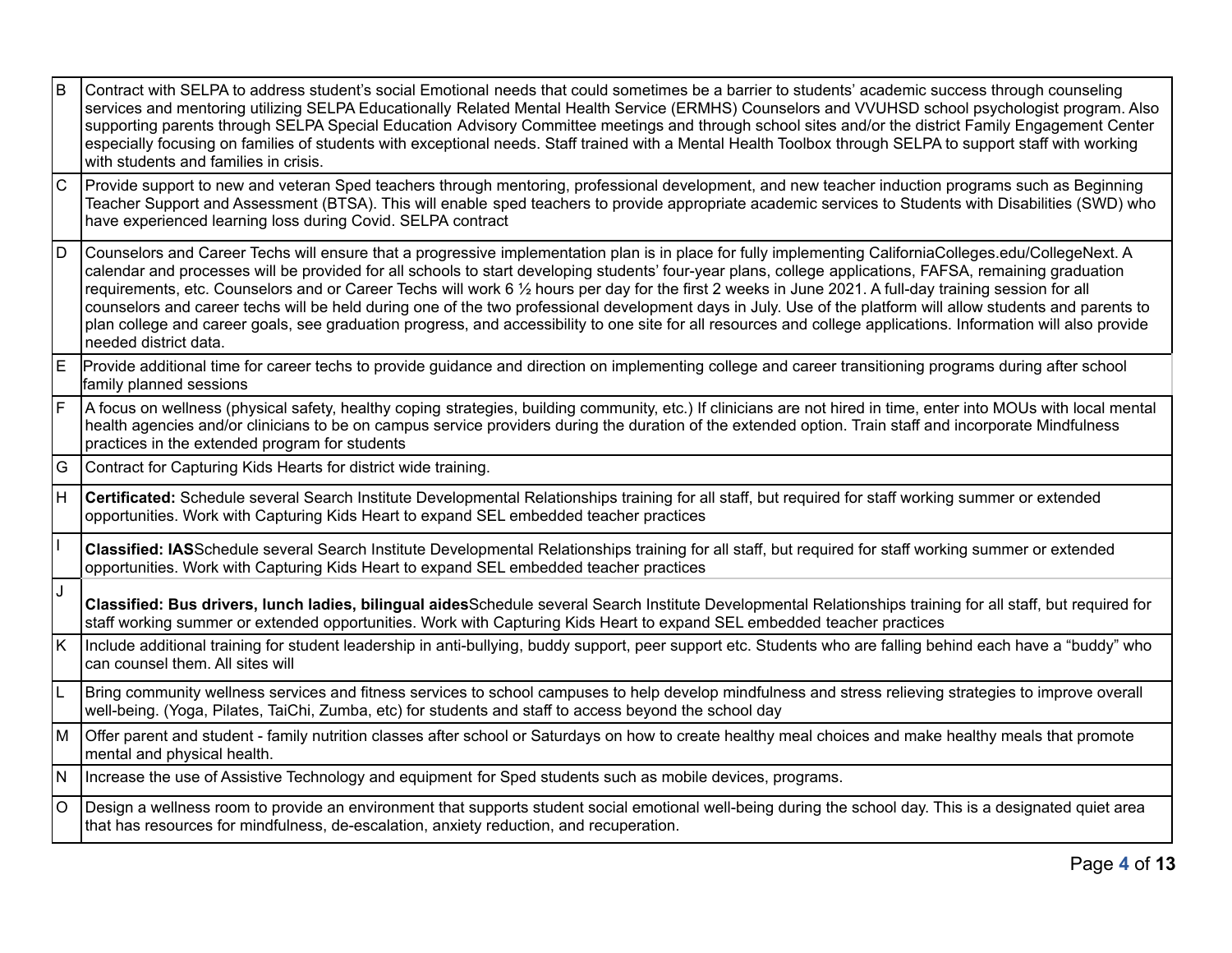| $\overline{B}$ | Contract with SELPA to address student's social Emotional needs that could sometimes be a barrier to students' academic success through counseling<br>services and mentoring utilizing SELPA Educationally Related Mental Health Service (ERMHS) Counselors and VVUHSD school psychologist program. Also<br>supporting parents through SELPA Special Education Advisory Committee meetings and through school sites and/or the district Family Engagement Center<br>especially focusing on families of students with exceptional needs. Staff trained with a Mental Health Toolbox through SELPA to support staff with working<br>with students and families in crisis.                                                                                                                                                                    |
|----------------|--------------------------------------------------------------------------------------------------------------------------------------------------------------------------------------------------------------------------------------------------------------------------------------------------------------------------------------------------------------------------------------------------------------------------------------------------------------------------------------------------------------------------------------------------------------------------------------------------------------------------------------------------------------------------------------------------------------------------------------------------------------------------------------------------------------------------------------------|
| lc             | Provide support to new and veteran Sped teachers through mentoring, professional development, and new teacher induction programs such as Beginning<br>Teacher Support and Assessment (BTSA). This will enable sped teachers to provide appropriate academic services to Students with Disabilities (SWD) who<br>have experienced learning loss during Covid. SELPA contract                                                                                                                                                                                                                                                                                                                                                                                                                                                                |
| ld             | Counselors and Career Techs will ensure that a progressive implementation plan is in place for fully implementing CaliforniaColleges.edu/CollegeNext. A<br>calendar and processes will be provided for all schools to start developing students' four-year plans, college applications, FAFSA, remaining graduation<br>requirements, etc. Counselors and or Career Techs will work 6 1/2 hours per day for the first 2 weeks in June 2021. A full-day training session for all<br>counselors and career techs will be held during one of the two professional development days in July. Use of the platform will allow students and parents to<br>plan college and career goals, see graduation progress, and accessibility to one site for all resources and college applications. Information will also provide<br>needed district data. |
| lE.            | Provide additional time for career techs to provide guidance and direction on implementing college and career transitioning programs during after school<br>family planned sessions                                                                                                                                                                                                                                                                                                                                                                                                                                                                                                                                                                                                                                                        |
| F              | A focus on wellness (physical safety, healthy coping strategies, building community, etc.) If clinicians are not hired in time, enter into MOUs with local mental<br>health agencies and/or clinicians to be on campus service providers during the duration of the extended option. Train staff and incorporate Mindfulness<br>practices in the extended program for students                                                                                                                                                                                                                                                                                                                                                                                                                                                             |
| $\overline{G}$ | Contract for Capturing Kids Hearts for district wide training.                                                                                                                                                                                                                                                                                                                                                                                                                                                                                                                                                                                                                                                                                                                                                                             |
| H              | <b>Certificated:</b> Schedule several Search Institute Developmental Relationships training for all staff, but required for staff working summer or extended<br>opportunities. Work with Capturing Kids Heart to expand SEL embedded teacher practices                                                                                                                                                                                                                                                                                                                                                                                                                                                                                                                                                                                     |
| $\mathbf{I}$   | Classified: IASSchedule several Search Institute Developmental Relationships training for all staff, but required for staff working summer or extended<br>opportunities. Work with Capturing Kids Heart to expand SEL embedded teacher practices                                                                                                                                                                                                                                                                                                                                                                                                                                                                                                                                                                                           |
| IJ             | Classified: Bus drivers, lunch ladies, bilingual aidesSchedule several Search Institute Developmental Relationships training for all staff, but required for<br>staff working summer or extended opportunities. Work with Capturing Kids Heart to expand SEL embedded teacher practices                                                                                                                                                                                                                                                                                                                                                                                                                                                                                                                                                    |
| ĸ              | Include additional training for student leadership in anti-bullying, buddy support, peer support etc. Students who are falling behind each have a "buddy" who<br>can counsel them. All sites will                                                                                                                                                                                                                                                                                                                                                                                                                                                                                                                                                                                                                                          |
| L              | Bring community wellness services and fitness services to school campuses to help develop mindfulness and stress relieving strategies to improve overall<br>well-being. (Yoga, Pilates, TaiChi, Zumba, etc) for students and staff to access beyond the school day                                                                                                                                                                                                                                                                                                                                                                                                                                                                                                                                                                         |
| M              | Offer parent and student - family nutrition classes after school or Saturdays on how to create healthy meal choices and make healthy meals that promote<br>mental and physical health.                                                                                                                                                                                                                                                                                                                                                                                                                                                                                                                                                                                                                                                     |
| N              | Increase the use of Assistive Technology and equipment for Sped students such as mobile devices, programs.                                                                                                                                                                                                                                                                                                                                                                                                                                                                                                                                                                                                                                                                                                                                 |
| lo             | Design a wellness room to provide an environment that supports student social emotional well-being during the school day. This is a designated quiet area<br>that has resources for mindfulness, de-escalation, anxiety reduction, and recuperation.                                                                                                                                                                                                                                                                                                                                                                                                                                                                                                                                                                                       |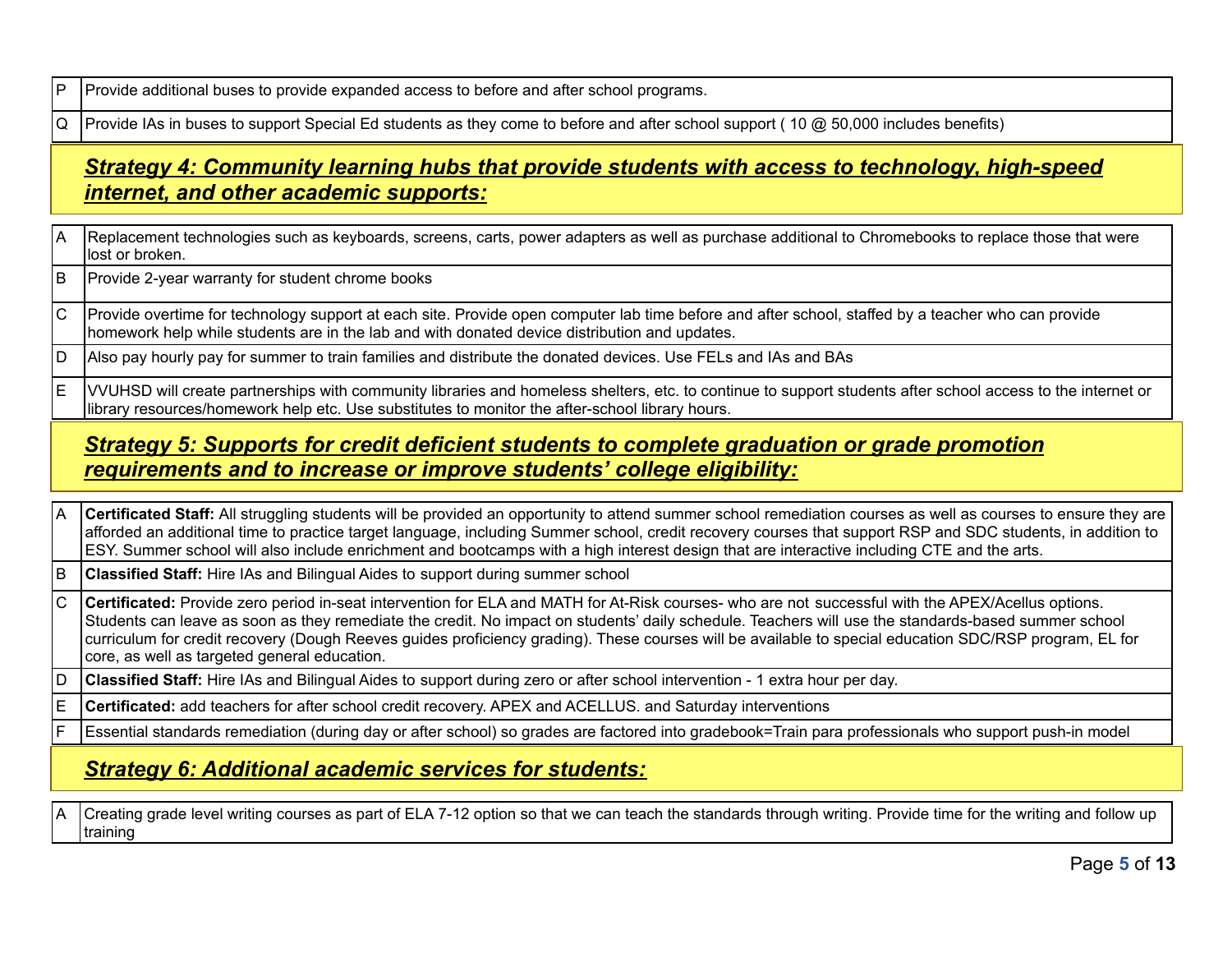$\mathsf{P}$  Provide additional buses to provide expanded access to before and after school programs.

 $Q$  Provide IAs in buses to support Special Ed students as they come to before and after school support (10  $@$  50,000 includes benefits)

## *Strategy 4: Community learning hubs that provide students with access to technology, high-speed internet, and other academic supports:*

- A Replacement technologies such as keyboards, screens, carts, power adapters as well as purchase additional to Chromebooks to replace those that were lost or broken.
- $|B|$  Provide 2-year warranty for student chrome books

C Provide overtime for technology support at each site. Provide open computer lab time before and after school, staffed by a teacher who can provide homework help while students are in the lab and with donated device distribution and updates.

D Also pay hourly pay for summer to train families and distribute the donated devices. Use FELs and IAs and BAs

E VVUHSD will create partnerships with community libraries and homeless shelters, etc. to continue to support students after school access to the internet or library resources/homework help etc. Use substitutes to monitor the after-school library hours.

### *Strategy 5: Supports for credit deficient students to complete graduation or grade promotion requirements and to increase or improve students' college eligibility:*

- A **Certificated Staff:** All struggling students will be provided an opportunity to attend summer school remediation courses as well as courses to ensure they are afforded an additional time to practice target language, including Summer school, credit recovery courses that support RSP and SDC students, in addition to ESY. Summer school will also include enrichment and bootcamps with a high interest design that are interactive including CTE and the arts.
- B **Classified Staff:** Hire IAs and Bilingual Aides to support during summer school
- C **Certificated:** Provide zero period in-seat intervention for ELA and MATH for At-Risk courses- who are not successful with the APEX/Acellus options. Students can leave as soon as they remediate the credit. No impact on students' daily schedule. Teachers will use the standards-based summer school curriculum for credit recovery (Dough Reeves guides proficiency grading). These courses will be available to special education SDC/RSP program, EL for core, as well as targeted general education.
- D **Classified Staff:** Hire IAs and Bilingual Aides to support during zero or after school intervention 1 extra hour per day.

E **Certificated:** add teachers for after school credit recovery. APEX and ACELLUS. and Saturday interventions

F Essential standards remediation (during day or after school) so grades are factored into gradebook=Train para professionals who support push-in model

### *Strategy 6: Additional academic services for students:*

A Creating grade level writing courses as part of ELA 7-12 option so that we can teach the standards through writing. Provide time for the writing and follow up training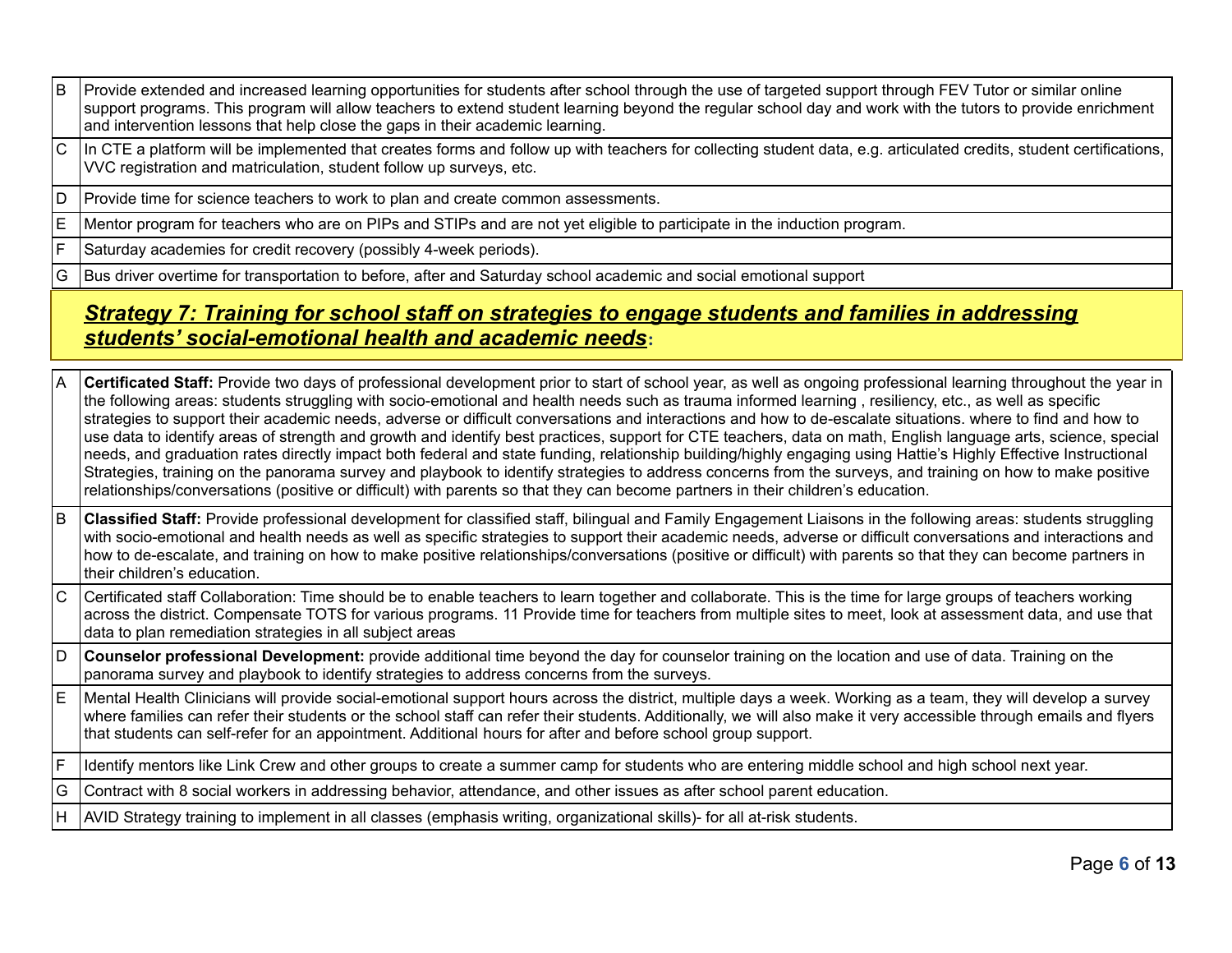- B Provide extended and increased learning opportunities for students after school through the use of targeted support through FEV Tutor or similar online support programs. This program will allow teachers to extend student learning beyond the regular school day and work with the tutors to provide enrichment and intervention lessons that help close the gaps in their academic learning.
- $|C|$  In CTE a platform will be implemented that creates forms and follow up with teachers for collecting student data, e.g. articulated credits, student certifications, VVC registration and matriculation, student follow up surveys, etc.
- $\vert D \vert$  Provide time for science teachers to work to plan and create common assessments.
- E Mentor program for teachers who are on PIPs and STIPs and are not yet eligible to participate in the induction program.
- $F$  Saturday academies for credit recovery (possibly 4-week periods).
- G Bus driver overtime for transportation to before, after and Saturday school academic and social emotional support

## *Strategy 7: Training for school staff on strategies to engage students and families in addressing students' social-emotional health and academic needs***:**

| ΙA  | Certificated Staff: Provide two days of professional development prior to start of school year, as well as ongoing professional learning throughout the year in<br>the following areas: students struggling with socio-emotional and health needs such as trauma informed learning, resiliency, etc., as well as specific<br>strategies to support their academic needs, adverse or difficult conversations and interactions and how to de-escalate situations. where to find and how to<br>use data to identify areas of strength and growth and identify best practices, support for CTE teachers, data on math, English language arts, science, special<br>needs, and graduation rates directly impact both federal and state funding, relationship building/highly engaging using Hattie's Highly Effective Instructional<br>Strategies, training on the panorama survey and playbook to identify strategies to address concerns from the surveys, and training on how to make positive<br>relationships/conversations (positive or difficult) with parents so that they can become partners in their children's education. |
|-----|---------------------------------------------------------------------------------------------------------------------------------------------------------------------------------------------------------------------------------------------------------------------------------------------------------------------------------------------------------------------------------------------------------------------------------------------------------------------------------------------------------------------------------------------------------------------------------------------------------------------------------------------------------------------------------------------------------------------------------------------------------------------------------------------------------------------------------------------------------------------------------------------------------------------------------------------------------------------------------------------------------------------------------------------------------------------------------------------------------------------------------|
| lв  | Classified Staff: Provide professional development for classified staff, bilingual and Family Engagement Liaisons in the following areas: students struggling<br>with socio-emotional and health needs as well as specific strategies to support their academic needs, adverse or difficult conversations and interactions and<br>how to de-escalate, and training on how to make positive relationships/conversations (positive or difficult) with parents so that they can become partners in<br>their children's education.                                                                                                                                                                                                                                                                                                                                                                                                                                                                                                                                                                                                  |
| IС  | Certificated staff Collaboration: Time should be to enable teachers to learn together and collaborate. This is the time for large groups of teachers working<br>across the district. Compensate TOTS for various programs. 11 Provide time for teachers from multiple sites to meet, look at assessment data, and use that<br>data to plan remediation strategies in all subject areas                                                                                                                                                                                                                                                                                                                                                                                                                                                                                                                                                                                                                                                                                                                                          |
| ١D  | Counselor professional Development: provide additional time beyond the day for counselor training on the location and use of data. Training on the<br>panorama survey and playbook to identify strategies to address concerns from the surveys.                                                                                                                                                                                                                                                                                                                                                                                                                                                                                                                                                                                                                                                                                                                                                                                                                                                                                 |
|     | Mental Health Clinicians will provide social-emotional support hours across the district, multiple days a week. Working as a team, they will develop a survey<br>where families can refer their students or the school staff can refer their students. Additionally, we will also make it very accessible through emails and flyers<br>that students can self-refer for an appointment. Additional hours for after and before school group support.                                                                                                                                                                                                                                                                                                                                                                                                                                                                                                                                                                                                                                                                             |
| lF  | Identify mentors like Link Crew and other groups to create a summer camp for students who are entering middle school and high school next year.                                                                                                                                                                                                                                                                                                                                                                                                                                                                                                                                                                                                                                                                                                                                                                                                                                                                                                                                                                                 |
| l G | Contract with 8 social workers in addressing behavior, attendance, and other issues as after school parent education.                                                                                                                                                                                                                                                                                                                                                                                                                                                                                                                                                                                                                                                                                                                                                                                                                                                                                                                                                                                                           |
| lН  | AVID Strategy training to implement in all classes (emphasis writing, organizational skills)- for all at-risk students.                                                                                                                                                                                                                                                                                                                                                                                                                                                                                                                                                                                                                                                                                                                                                                                                                                                                                                                                                                                                         |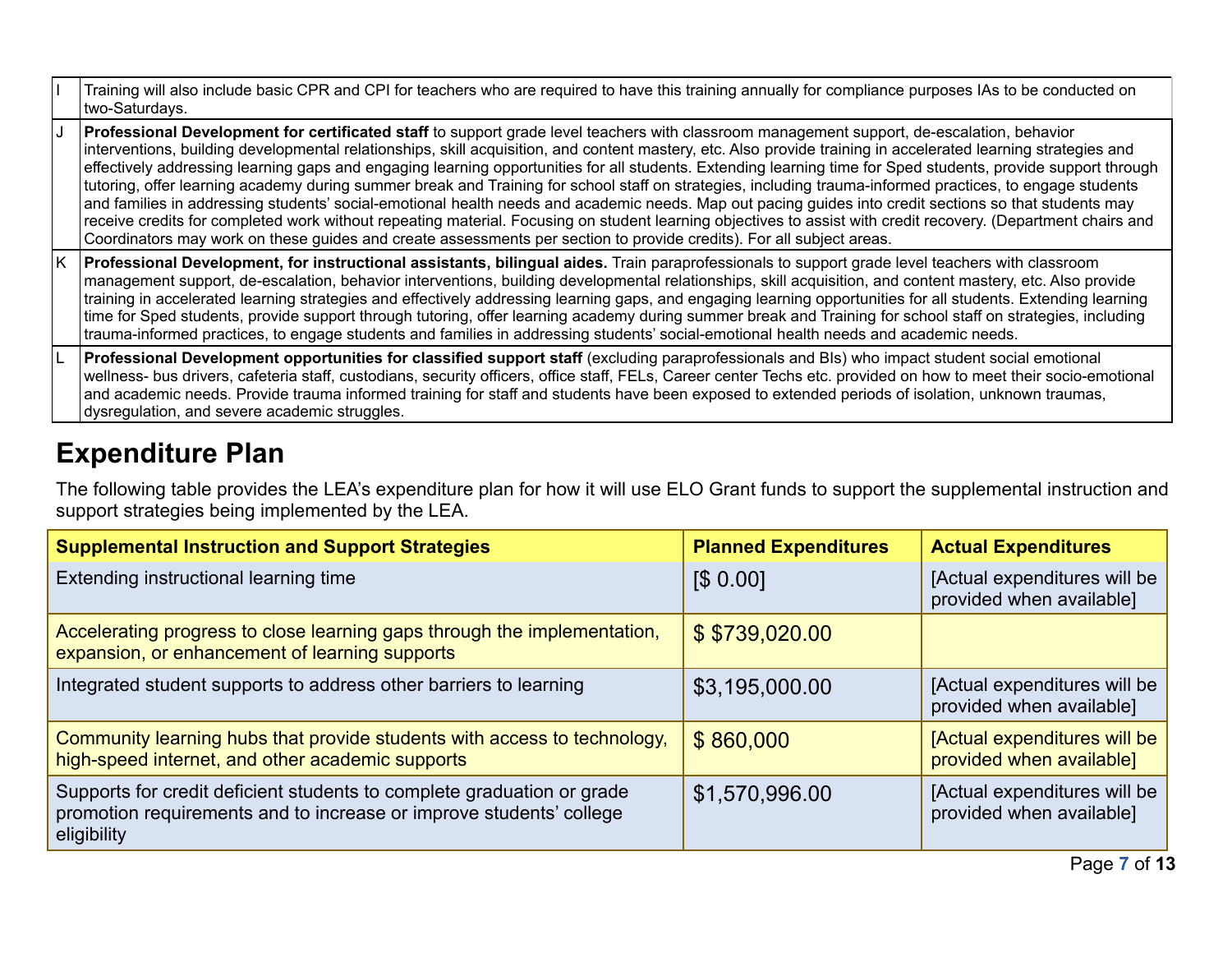|    | Training will also include basic CPR and CPI for teachers who are required to have this training annually for compliance purposes IAs to be conducted on<br>two-Saturdays.                                                                                                                                                                                                                                                                                                                                                                                                                                                                                                                                                                                                                                                                                                                                                                                                                                                                                                                    |
|----|-----------------------------------------------------------------------------------------------------------------------------------------------------------------------------------------------------------------------------------------------------------------------------------------------------------------------------------------------------------------------------------------------------------------------------------------------------------------------------------------------------------------------------------------------------------------------------------------------------------------------------------------------------------------------------------------------------------------------------------------------------------------------------------------------------------------------------------------------------------------------------------------------------------------------------------------------------------------------------------------------------------------------------------------------------------------------------------------------|
|    | Professional Development for certificated staff to support grade level teachers with classroom management support, de-escalation, behavior<br>interventions, building developmental relationships, skill acquisition, and content mastery, etc. Also provide training in accelerated learning strategies and<br>effectively addressing learning gaps and engaging learning opportunities for all students. Extending learning time for Sped students, provide support through<br>tutoring, offer learning academy during summer break and Training for school staff on strategies, including trauma-informed practices, to engage students<br>and families in addressing students' social-emotional health needs and academic needs. Map out pacing guides into credit sections so that students may<br>receive credits for completed work without repeating material. Focusing on student learning objectives to assist with credit recovery. (Department chairs and<br>Coordinators may work on these guides and create assessments per section to provide credits). For all subject areas. |
| K. | <b>Professional Development, for instructional assistants, bilingual aides.</b> Train paraprofessionals to support grade level teachers with classroom<br>management support, de-escalation, behavior interventions, building developmental relationships, skill acquisition, and content mastery, etc. Also provide<br>training in accelerated learning strategies and effectively addressing learning gaps, and engaging learning opportunities for all students. Extending learning<br>time for Sped students, provide support through tutoring, offer learning academy during summer break and Training for school staff on strategies, including<br>trauma-informed practices, to engage students and families in addressing students' social-emotional health needs and academic needs.                                                                                                                                                                                                                                                                                                 |
|    | Professional Development opportunities for classified support staff (excluding paraprofessionals and BIs) who impact student social emotional<br>wellness- bus drivers, cafeteria staff, custodians, security officers, office staff, FELs, Career center Techs etc. provided on how to meet their socio-emotional<br>and academic needs. Provide trauma informed training for staff and students have been exposed to extended periods of isolation, unknown traumas,<br>dysregulation, and severe academic struggles.                                                                                                                                                                                                                                                                                                                                                                                                                                                                                                                                                                       |

# **Expenditure Plan**

The following table provides the LEA's expenditure plan for how it will use ELO Grant funds to support the supplemental instruction and support strategies being implemented by the LEA.

| <b>Supplemental Instruction and Support Strategies</b>                                                                                                       | <b>Planned Expenditures</b> | <b>Actual Expenditures</b>                               |
|--------------------------------------------------------------------------------------------------------------------------------------------------------------|-----------------------------|----------------------------------------------------------|
| Extending instructional learning time                                                                                                                        | \$0.00]                     | [Actual expenditures will be<br>provided when available] |
| Accelerating progress to close learning gaps through the implementation,<br>expansion, or enhancement of learning supports                                   | \$\$739,020.00              |                                                          |
| Integrated student supports to address other barriers to learning                                                                                            | \$3,195,000.00              | [Actual expenditures will be<br>provided when available] |
| Community learning hubs that provide students with access to technology,<br>high-speed internet, and other academic supports                                 | \$860,000                   | [Actual expenditures will be<br>provided when available] |
| Supports for credit deficient students to complete graduation or grade<br>promotion requirements and to increase or improve students' college<br>eligibility | \$1,570,996.00              | [Actual expenditures will be<br>provided when available] |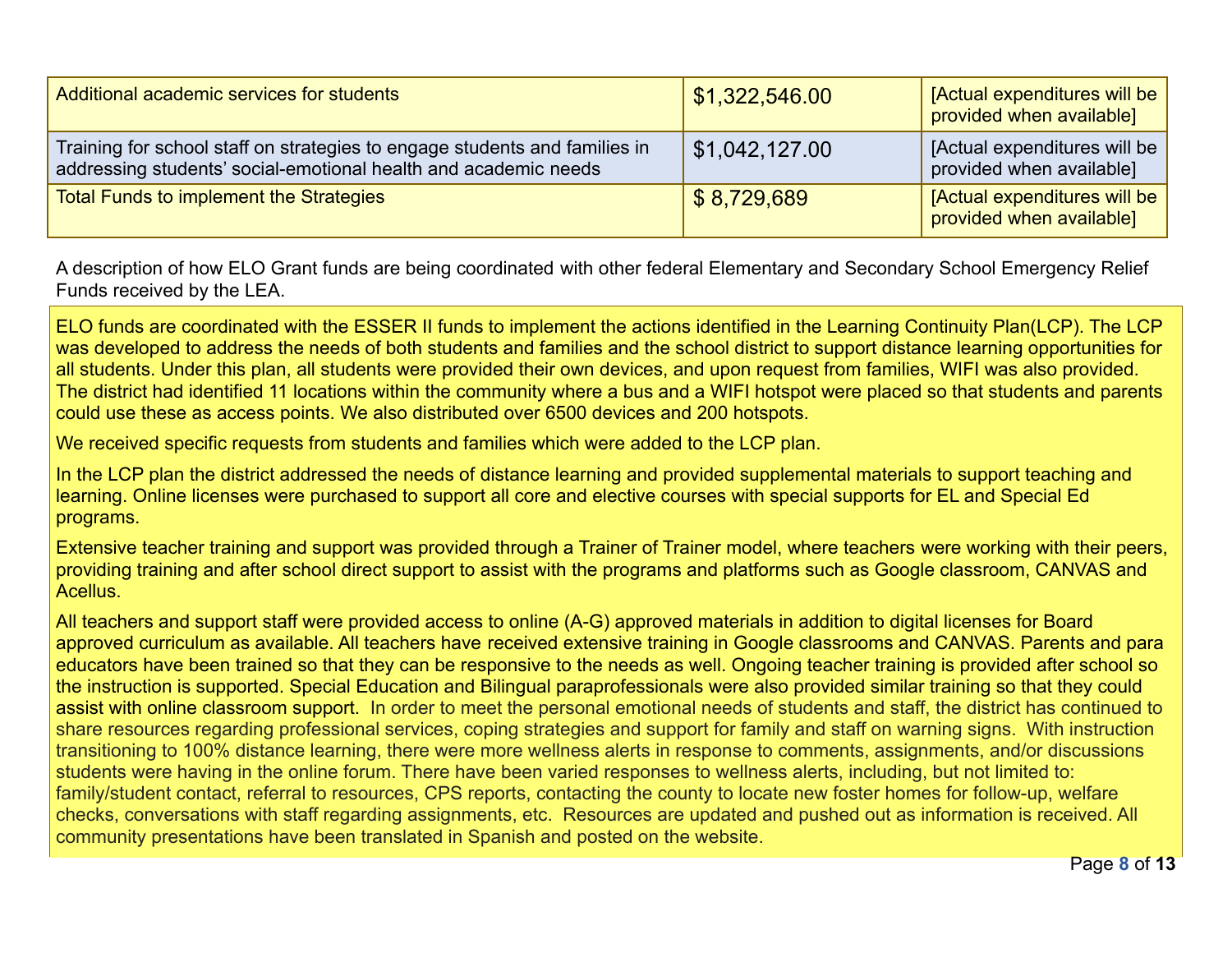| Additional academic services for students                                                                                                     | \$1,322,546.00 | [Actual expenditures will be<br>provided when available] |
|-----------------------------------------------------------------------------------------------------------------------------------------------|----------------|----------------------------------------------------------|
| Training for school staff on strategies to engage students and families in<br>addressing students' social-emotional health and academic needs | \$1,042,127.00 | [Actual expenditures will be<br>provided when available] |
| <b>Total Funds to implement the Strategies</b>                                                                                                | \$8,729,689    | [Actual expenditures will be<br>provided when available] |

A description of how ELO Grant funds are being coordinated with other federal Elementary and Secondary School Emergency Relief Funds received by the LEA.

ELO funds are coordinated with the ESSER II funds to implement the actions identified in the Learning Continuity Plan(LCP). The LCP was developed to address the needs of both students and families and the school district to support distance learning opportunities for all students. Under this plan, all students were provided their own devices, and upon request from families, WIFI was also provided. The district had identified 11 locations within the community where a bus and a WIFI hotspot were placed so that students and parents could use these as access points. We also distributed over 6500 devices and 200 hotspots.

We received specific requests from students and families which were added to the LCP plan.

In the LCP plan the district addressed the needs of distance learning and provided supplemental materials to support teaching and learning. Online licenses were purchased to support all core and elective courses with special supports for EL and Special Ed programs.

Extensive teacher training and support was provided through a Trainer of Trainer model, where teachers were working with their peers, providing training and after school direct support to assist with the programs and platforms such as Google classroom, CANVAS and Acellus.

All teachers and support staff were provided access to online (A-G) approved materials in addition to digital licenses for Board approved curriculum as available. All teachers have received extensive training in Google classrooms and CANVAS. Parents and para educators have been trained so that they can be responsive to the needs as well. Ongoing teacher training is provided after school so the instruction is supported. Special Education and Bilingual paraprofessionals were also provided similar training so that they could assist with online classroom support. In order to meet the personal emotional needs of students and staff, the district has continued to share resources regarding professional services, coping strategies and support for family and staff on warning signs. With instruction transitioning to 100% distance learning, there were more wellness alerts in response to comments, assignments, and/or discussions students were having in the online forum. There have been varied responses to wellness alerts, including, but not limited to: family/student contact, referral to resources, CPS reports, contacting the county to locate new foster homes for follow-up, welfare checks, conversations with staff regarding assignments, etc. Resources are updated and pushed out as information is received. All community presentations have been translated in Spanish and posted on the website.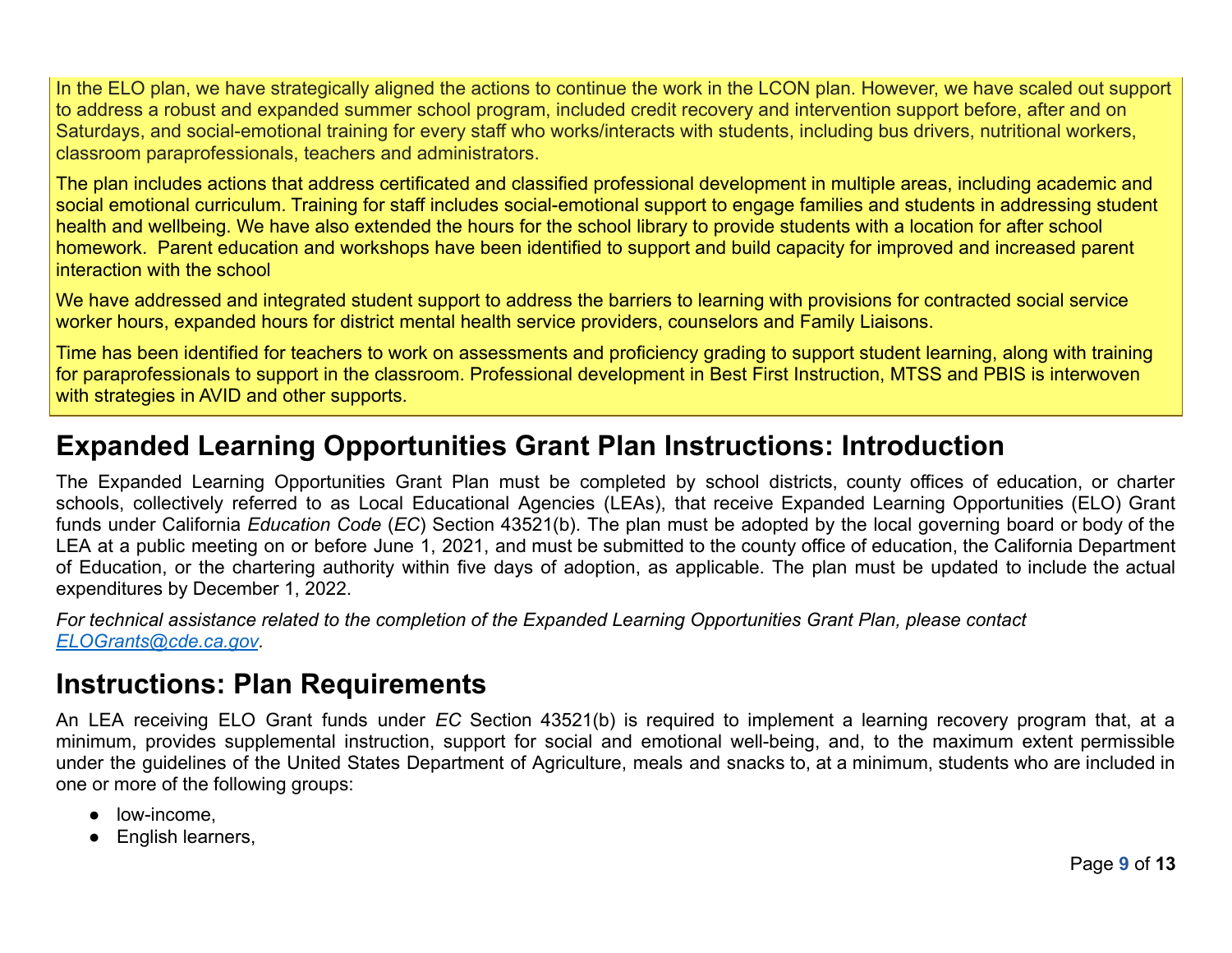In the ELO plan, we have strategically aligned the actions to continue the work in the LCON plan. However, we have scaled out support to address a robust and expanded summer school program, included credit recovery and intervention support before, after and on Saturdays, and social-emotional training for every staff who works/interacts with students, including bus drivers, nutritional workers, classroom paraprofessionals, teachers and administrators.

The plan includes actions that address certificated and classified professional development in multiple areas, including academic and social emotional curriculum. Training for staff includes social-emotional support to engage families and students in addressing student health and wellbeing. We have also extended the hours for the school library to provide students with a location for after school homework. Parent education and workshops have been identified to support and build capacity for improved and increased parent interaction with the school

We have addressed and integrated student support to address the barriers to learning with provisions for contracted social service worker hours, expanded hours for district mental health service providers, counselors and Family Liaisons.

Time has been identified for teachers to work on assessments and proficiency grading to support student learning, along with training for paraprofessionals to support in the classroom. Professional development in Best First Instruction, MTSS and PBIS is interwoven with strategies in AVID and other supports.

## **Expanded Learning Opportunities Grant Plan Instructions: Introduction**

The Expanded Learning Opportunities Grant Plan must be completed by school districts, county offices of education, or charter schools, collectively referred to as Local Educational Agencies (LEAs), that receive Expanded Learning Opportunities (ELO) Grant funds under California *Education Code* (*EC*) Section 43521(b). The plan must be adopted by the local governing board or body of the LEA at a public meeting on or before June 1, 2021, and must be submitted to the county office of education, the California Department of Education, or the chartering authority within five days of adoption, as applicable. The plan must be updated to include the actual expenditures by December 1, 2022.

*For technical assistance related to the completion of the Expanded Learning Opportunities Grant Plan, please contact [ELOGrants@cde.ca.gov](mailto:ELOGrants@cde.ca.gov).*

## **Instructions: Plan Requirements**

An LEA receiving ELO Grant funds under *EC* Section 43521(b) is required to implement a learning recovery program that, at a minimum, provides supplemental instruction, support for social and emotional well-being, and, to the maximum extent permissible under the guidelines of the United States Department of Agriculture, meals and snacks to, at a minimum, students who are included in one or more of the following groups:

- low-income,
- English learners,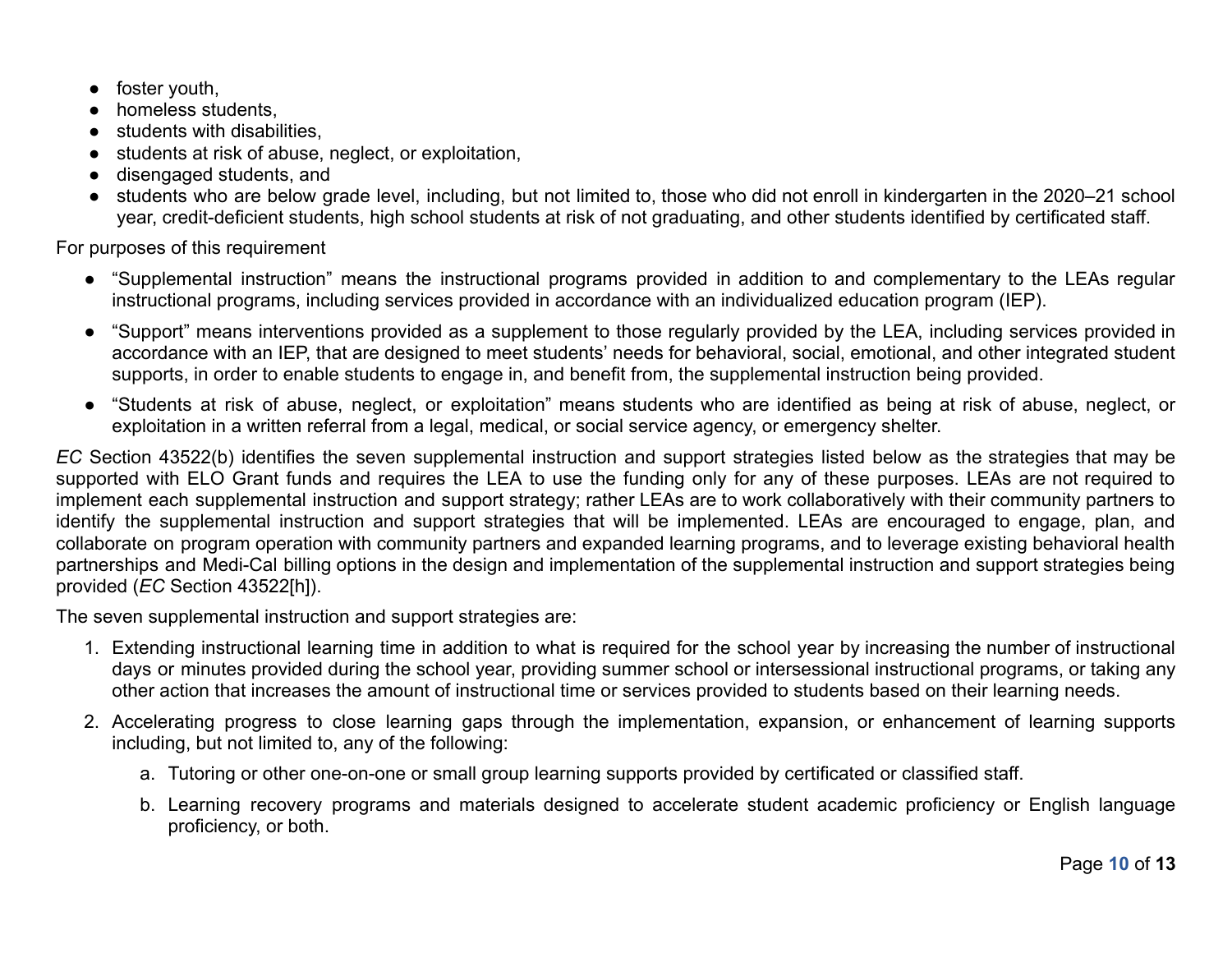- foster youth,
- homeless students
- students with disabilities.
- students at risk of abuse, neglect, or exploitation,
- disengaged students, and
- students who are below grade level, including, but not limited to, those who did not enroll in kindergarten in the 2020–21 school year, credit-deficient students, high school students at risk of not graduating, and other students identified by certificated staff.

For purposes of this requirement

- "Supplemental instruction" means the instructional programs provided in addition to and complementary to the LEAs regular instructional programs, including services provided in accordance with an individualized education program (IEP).
- "Support" means interventions provided as a supplement to those regularly provided by the LEA, including services provided in accordance with an IEP, that are designed to meet students' needs for behavioral, social, emotional, and other integrated student supports, in order to enable students to engage in, and benefit from, the supplemental instruction being provided.
- "Students at risk of abuse, neglect, or exploitation" means students who are identified as being at risk of abuse, neglect, or exploitation in a written referral from a legal, medical, or social service agency, or emergency shelter.

*EC* Section 43522(b) identifies the seven supplemental instruction and support strategies listed below as the strategies that may be supported with ELO Grant funds and requires the LEA to use the funding only for any of these purposes. LEAs are not required to implement each supplemental instruction and support strategy; rather LEAs are to work collaboratively with their community partners to identify the supplemental instruction and support strategies that will be implemented. LEAs are encouraged to engage, plan, and collaborate on program operation with community partners and expanded learning programs, and to leverage existing behavioral health partnerships and Medi-Cal billing options in the design and implementation of the supplemental instruction and support strategies being provided (*EC* Section 43522[h]).

The seven supplemental instruction and support strategies are:

- 1. Extending instructional learning time in addition to what is required for the school year by increasing the number of instructional days or minutes provided during the school year, providing summer school or intersessional instructional programs, or taking any other action that increases the amount of instructional time or services provided to students based on their learning needs.
- 2. Accelerating progress to close learning gaps through the implementation, expansion, or enhancement of learning supports including, but not limited to, any of the following:
	- a. Tutoring or other one-on-one or small group learning supports provided by certificated or classified staff.
	- b. Learning recovery programs and materials designed to accelerate student academic proficiency or English language proficiency, or both.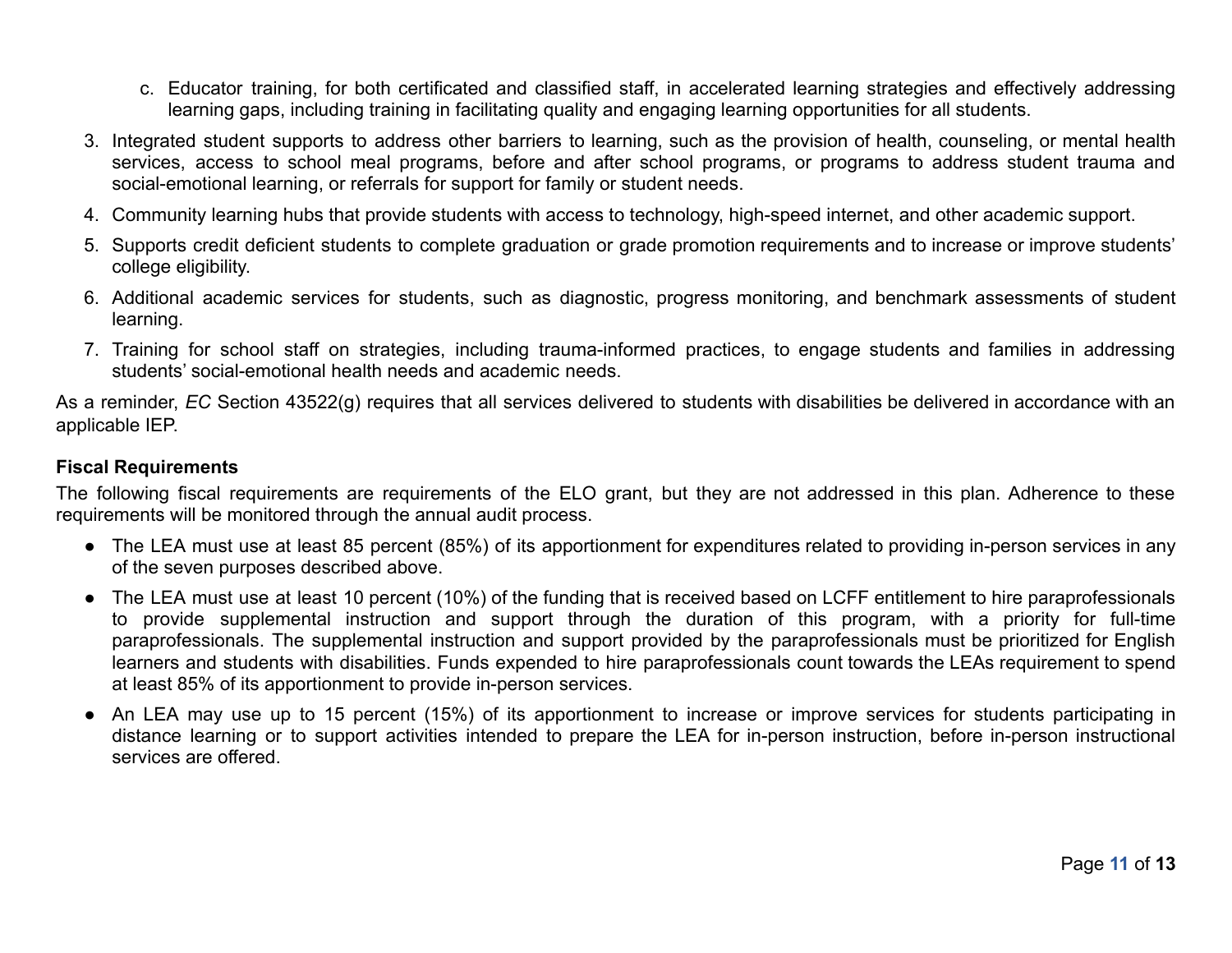- c. Educator training, for both certificated and classified staff, in accelerated learning strategies and effectively addressing learning gaps, including training in facilitating quality and engaging learning opportunities for all students.
- 3. Integrated student supports to address other barriers to learning, such as the provision of health, counseling, or mental health services, access to school meal programs, before and after school programs, or programs to address student trauma and social-emotional learning, or referrals for support for family or student needs.
- 4. Community learning hubs that provide students with access to technology, high-speed internet, and other academic support.
- 5. Supports credit deficient students to complete graduation or grade promotion requirements and to increase or improve students' college eligibility.
- 6. Additional academic services for students, such as diagnostic, progress monitoring, and benchmark assessments of student learning.
- 7. Training for school staff on strategies, including trauma-informed practices, to engage students and families in addressing students' social-emotional health needs and academic needs.

As a reminder, *EC* Section 43522(g) requires that all services delivered to students with disabilities be delivered in accordance with an applicable IEP.

#### **Fiscal Requirements**

The following fiscal requirements are requirements of the ELO grant, but they are not addressed in this plan. Adherence to these requirements will be monitored through the annual audit process.

- The LEA must use at least 85 percent (85%) of its apportionment for expenditures related to providing in-person services in any of the seven purposes described above.
- The LEA must use at least 10 percent (10%) of the funding that is received based on LCFF entitlement to hire paraprofessionals to provide supplemental instruction and support through the duration of this program, with a priority for full-time paraprofessionals. The supplemental instruction and support provided by the paraprofessionals must be prioritized for English learners and students with disabilities. Funds expended to hire paraprofessionals count towards the LEAs requirement to spend at least 85% of its apportionment to provide in-person services.
- An LEA may use up to 15 percent (15%) of its apportionment to increase or improve services for students participating in distance learning or to support activities intended to prepare the LEA for in-person instruction, before in-person instructional services are offered.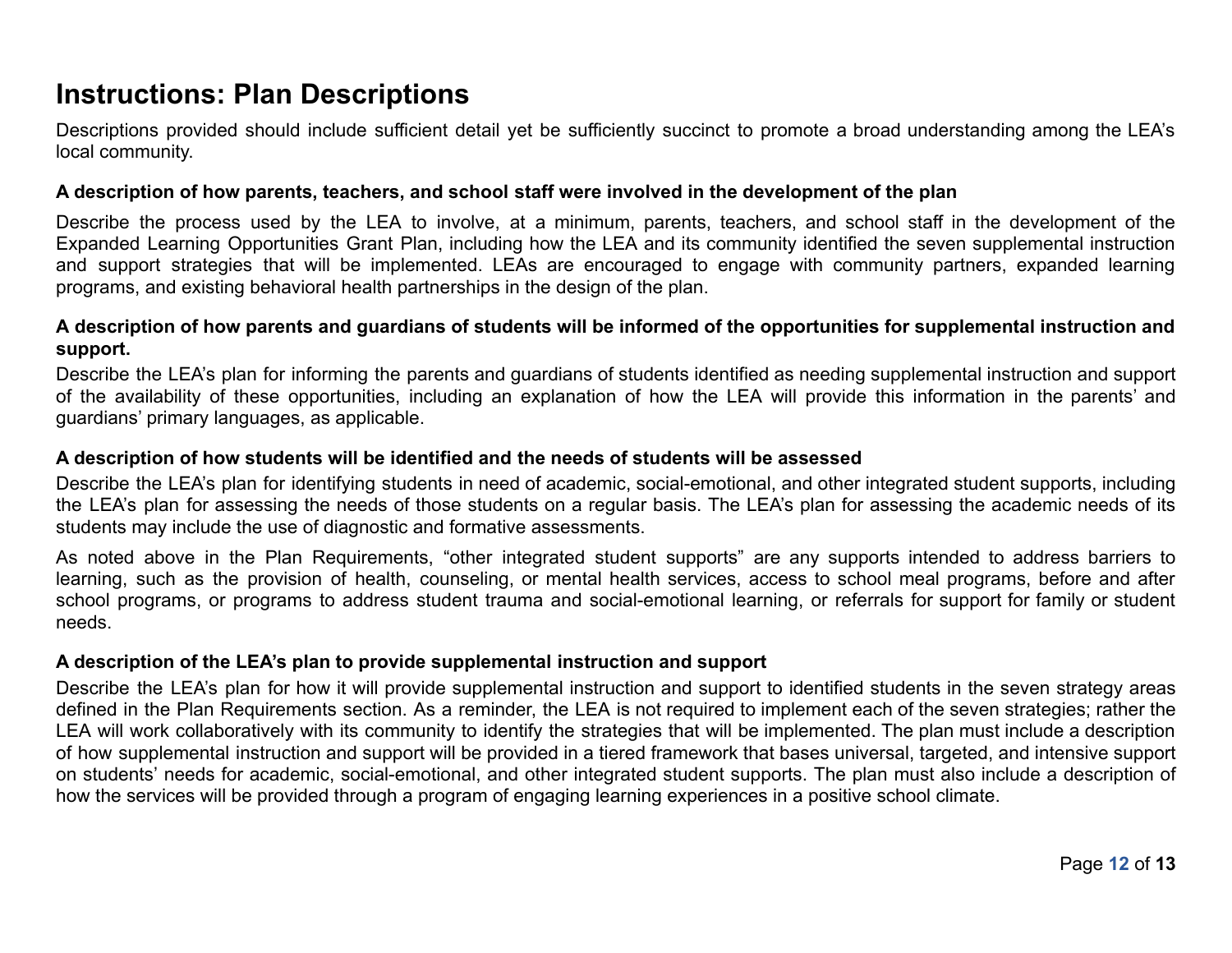## **Instructions: Plan Descriptions**

Descriptions provided should include sufficient detail yet be sufficiently succinct to promote a broad understanding among the LEA's local community.

#### **A description of how parents, teachers, and school staff were involved in the development of the plan**

Describe the process used by the LEA to involve, at a minimum, parents, teachers, and school staff in the development of the Expanded Learning Opportunities Grant Plan, including how the LEA and its community identified the seven supplemental instruction and support strategies that will be implemented. LEAs are encouraged to engage with community partners, expanded learning programs, and existing behavioral health partnerships in the design of the plan.

#### A description of how parents and guardians of students will be informed of the opportunities for supplemental instruction and **support.**

Describe the LEA's plan for informing the parents and guardians of students identified as needing supplemental instruction and support of the availability of these opportunities, including an explanation of how the LEA will provide this information in the parents' and guardians' primary languages, as applicable.

#### **A description of how students will be identified and the needs of students will be assessed**

Describe the LEA's plan for identifying students in need of academic, social-emotional, and other integrated student supports, including the LEA's plan for assessing the needs of those students on a regular basis. The LEA's plan for assessing the academic needs of its students may include the use of diagnostic and formative assessments.

As noted above in the Plan Requirements, "other integrated student supports" are any supports intended to address barriers to learning, such as the provision of health, counseling, or mental health services, access to school meal programs, before and after school programs, or programs to address student trauma and social-emotional learning, or referrals for support for family or student needs.

### **A description of the LEA's plan to provide supplemental instruction and support**

Describe the LEA's plan for how it will provide supplemental instruction and support to identified students in the seven strategy areas defined in the Plan Requirements section. As a reminder, the LEA is not required to implement each of the seven strategies; rather the LEA will work collaboratively with its community to identify the strategies that will be implemented. The plan must include a description of how supplemental instruction and support will be provided in a tiered framework that bases universal, targeted, and intensive support on students' needs for academic, social-emotional, and other integrated student supports. The plan must also include a description of how the services will be provided through a program of engaging learning experiences in a positive school climate.